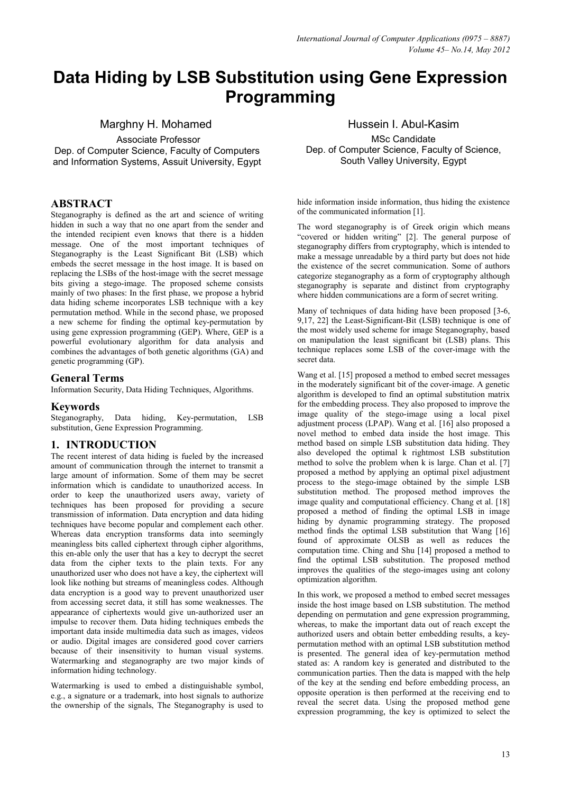# Data Hiding by LSB Substitution using Gene Expression Programming

# Marghny H. Mohamed

 Associate Professor Dep. of Computer Science, Faculty of Computers and Information Systems, Assuit University, Egypt

# **ABSTRACT**

Steganography is defined as the art and science of writing hidden in such a way that no one apart from the sender and the intended recipient even knows that there is a hidden message. One of the most important techniques of Steganography is the Least Significant Bit (LSB) which embeds the secret message in the host image. It is based on replacing the LSBs of the host-image with the secret message bits giving a stego-image. The proposed scheme consists mainly of two phases: In the first phase, we propose a hybrid data hiding scheme incorporates LSB technique with a key permutation method. While in the second phase, we proposed a new scheme for finding the optimal key-permutation by using gene expression programming (GEP). Where, GEP is a powerful evolutionary algorithm for data analysis and combines the advantages of both genetic algorithms (GA) and genetic programming (GP).

## General Terms

Information Security, Data Hiding Techniques, Algorithms.

## **Keywords**

Steganography, Data hiding, Key-permutation, LSB substitution, Gene Expression Programming.

## 1. INTRODUCTION

The recent interest of data hiding is fueled by the increased amount of communication through the internet to transmit a large amount of information. Some of them may be secret information which is candidate to unauthorized access. In order to keep the unauthorized users away, variety of techniques has been proposed for providing a secure transmission of information. Data encryption and data hiding techniques have become popular and complement each other. Whereas data encryption transforms data into seemingly meaningless bits called ciphertext through cipher algorithms, this en-able only the user that has a key to decrypt the secret data from the cipher texts to the plain texts. For any unauthorized user who does not have a key, the ciphertext will look like nothing but streams of meaningless codes. Although data encryption is a good way to prevent unauthorized user from accessing secret data, it still has some weaknesses. The appearance of ciphertexts would give un-authorized user an impulse to recover them. Data hiding techniques embeds the important data inside multimedia data such as images, videos or audio. Digital images are considered good cover carriers because of their insensitivity to human visual systems. Watermarking and steganography are two major kinds of information hiding technology.

Watermarking is used to embed a distinguishable symbol, e.g., a signature or a trademark, into host signals to authorize the ownership of the signals, The Steganography is used to

Hussein I. Abul-Kasim MSc Candidate Dep. of Computer Science, Faculty of Science, South Valley University, Egypt

hide information inside information, thus hiding the existence of the communicated information [1].

The word steganography is of Greek origin which means "covered or hidden writing" [2]. The general purpose of steganography differs from cryptography, which is intended to make a message unreadable by a third party but does not hide the existence of the secret communication. Some of authors categorize steganography as a form of cryptography although steganography is separate and distinct from cryptography where hidden communications are a form of secret writing.

Many of techniques of data hiding have been proposed [3-6, 9,17, 22] the Least-Significant-Bit (LSB) technique is one of the most widely used scheme for image Steganography, based on manipulation the least significant bit (LSB) plans. This technique replaces some LSB of the cover-image with the secret data.

Wang et al. [15] proposed a method to embed secret messages in the moderately significant bit of the cover-image. A genetic algorithm is developed to find an optimal substitution matrix for the embedding process. They also proposed to improve the image quality of the stego-image using a local pixel adjustment process (LPAP). Wang et al. [16] also proposed a novel method to embed data inside the host image. This method based on simple LSB substitution data hiding. They also developed the optimal k rightmost LSB substitution method to solve the problem when k is large. Chan et al. [7] proposed a method by applying an optimal pixel adjustment process to the stego-image obtained by the simple LSB substitution method. The proposed method improves the image quality and computational efficiency. Chang et al. [18] proposed a method of finding the optimal LSB in image hiding by dynamic programming strategy. The proposed method finds the optimal LSB substitution that Wang [16] found of approximate OLSB as well as reduces the computation time. Ching and Shu [14] proposed a method to find the optimal LSB substitution. The proposed method improves the qualities of the stego-images using ant colony optimization algorithm.

In this work, we proposed a method to embed secret messages inside the host image based on LSB substitution. The method depending on permutation and gene expression programming, whereas, to make the important data out of reach except the authorized users and obtain better embedding results, a keypermutation method with an optimal LSB substitution method is presented. The general idea of key-permutation method stated as: A random key is generated and distributed to the communication parties. Then the data is mapped with the help of the key at the sending end before embedding process, an opposite operation is then performed at the receiving end to reveal the secret data. Using the proposed method gene expression programming, the key is optimized to select the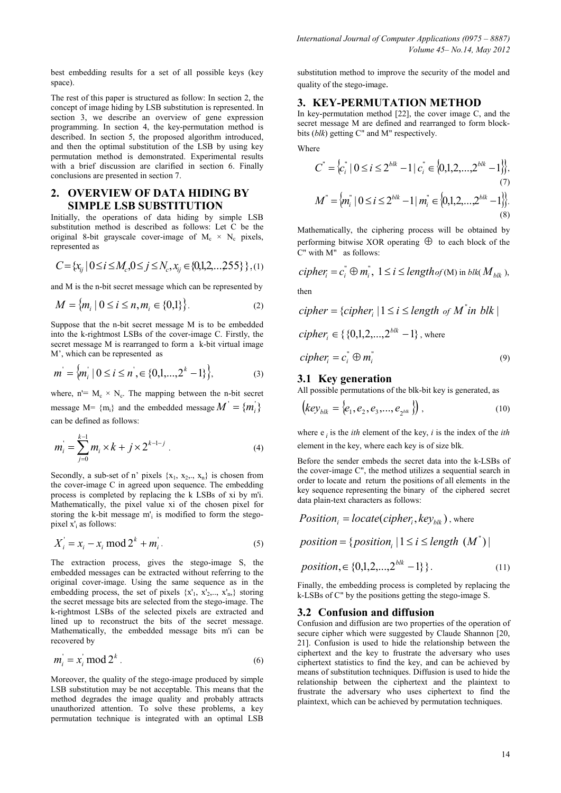best embedding results for a set of all possible keys (key space).

The rest of this paper is structured as follow: In section 2, the concept of image hiding by LSB substitution is represented. In section 3, we describe an overview of gene expression programming. In section 4, the key-permutation method is described. In section 5, the proposed algorithm introduced, and then the optimal substitution of the LSB by using key permutation method is demonstrated. Experimental results with a brief discussion are clarified in section 6. Finally conclusions are presented in section 7.

# 2. OVERVIEW OF DATA HIDING BY SIMPLE LSB SUBSTITUTION

Initially, the operations of data hiding by simple LSB substitution method is described as follows: Let C be the original 8-bit grayscale cover-image of  $M_c \times N_c$  pixels, represented as

$$
C = \{x_{ij} \mid 0 \le i \le M_c, 0 \le j \le N_c, x_{ij} \in \{0, 1, 2, \dots, 255\}\}, (1)
$$

and M is the n-bit secret message which can be represented by

$$
M = \{m_i \mid 0 \le i \le n, m_i \in \{0,1\}\}.
$$
 (2)

Suppose that the n-bit secret message M is to be embedded into the k-rightmost LSBs of the cover-image C. Firstly, the secret message M is rearranged to form a k-bit virtual image M', which can be represented as

$$
m' = \{m_i \mid 0 \le i \le n', \in \{0, 1, \dots, 2^k - 1\}\},\tag{3}
$$

where,  $n = M_c \times N_c$ . The mapping between the n-bit secret message  $M = \{m_i\}$  and the embedded message  $M' = \{m_i\}$ can be defined as follows:

$$
m_i = \sum_{j=0}^{k-1} m_i \times k + j \times 2^{k-1-j} \tag{4}
$$

Secondly, a sub-set of n' pixels  $\{x_1, x_2, x_n\}$  is chosen from the cover-image C in agreed upon sequence. The embedding process is completed by replacing the k LSBs of xi by m'i. Mathematically, the pixel value xi of the chosen pixel for storing the k-bit message m'<sup>i</sup> is modified to form the stegopixel x'<sub>i</sub> as follows:

$$
X'_{i} = x_{i} - x_{i} \mod 2^{k} + m'_{i}.
$$
 (5)

The extraction process, gives the stego-image S, the embedded messages can be extracted without referring to the original cover-image. Using the same sequence as in the embedding process, the set of pixels  $\{x_1, x_2, \ldots, x_n\}$  storing the secret message bits are selected from the stego-image. The k-rightmost LSBs of the selected pixels are extracted and lined up to reconstruct the bits of the secret message. Mathematically, the embedded message bits m'i can be recovered by

$$
m_i = x_i \bmod 2^k \tag{6}
$$

Moreover, the quality of the stego-image produced by simple LSB substitution may be not acceptable. This means that the method degrades the image quality and probably attracts unauthorized attention. To solve these problems, a key permutation technique is integrated with an optimal LSB

substitution method to improve the security of the model and quality of the stego-image.

#### 3. KEY-PERMUTATION METHOD

In key-permutation method [22], the cover image C, and the secret message M are defined and rearranged to form blockbits (blk) getting C" and M" respectively.

Where

$$
C^{"} = \{c_i^{"} | 0 \le i \le 2^{blk} - 1 | c_i^{"} \in \{0, 1, 2, \dots, 2^{blk} - 1\}\},\tag{7}
$$

$$
M^{"} = \{m_i^{"} | 0 \le i \le 2^{blk} - 1 | m_i^{"} \in \{0, 1, 2, \dots, 2^{blk} - 1\}\}.\tag{8}
$$

Mathematically, the ciphering process will be obtained by performing bitwise XOR operating  $\oplus$  to each block of the C" with M" as follows:

 $cipher_i = c_i^{\text{''}} \oplus m_i^{\text{''}}, \ 1 \leq i \leq lengthof(\text{M})$  in blk(  $M_{blk}$  ),

then

*cipher* = {*cipher*<sub>*i*</sub> | 1 ≤ *i* ≤ *length of M*<sup>*i*</sup> in *blk* |  
\n*cipher*<sub>*i*</sub> ∈ {0,1,2,...,2<sup>blk</sup> − 1}, where  
\n*cipher*<sub>*i*</sub> = 
$$
c_i^{\dagger} \oplus m_i^{\dagger}
$$
 (9)

#### 3.1 Key generation

All possible permutations of the blk-bit key is generated, as

$$
\left(\text{key}_{\text{blk}} = \{e_1, e_2, e_3, \dots, e_{2^{\text{blk}}}\}\right),\tag{10}
$$

where  $e_i$  is the *ith* element of the key, *i* is the index of the *ith* element in the key, where each key is of size blk.

Before the sender embeds the secret data into the k-LSBs of the cover-image C", the method utilizes a sequential search in order to locate and return the positions of all elements in the key sequence representing the binary of the ciphered secret data plain-text characters as follows:

( , ) <sup>i</sup> <sup>i</sup> blk Position = locate cipher key , where

{ 1| ( |) " position = position<sup>i</sup> ≤ i ≤ length M

$$
position \in \{0, 1, 2, \dots, 2^{blk} - 1\}.
$$
\n<sup>(11)</sup>

Finally, the embedding process is completed by replacing the k-LSBs of C" by the positions getting the stego-image S.

#### 3.2 Confusion and diffusion

Confusion and diffusion are two properties of the operation of secure cipher which were suggested by Claude Shannon [20, 21]. Confusion is used to hide the relationship between the ciphertext and the key to frustrate the adversary who uses ciphertext statistics to find the key, and can be achieved by means of substitution techniques. Diffusion is used to hide the relationship between the ciphertext and the plaintext to frustrate the adversary who uses ciphertext to find the plaintext, which can be achieved by permutation techniques.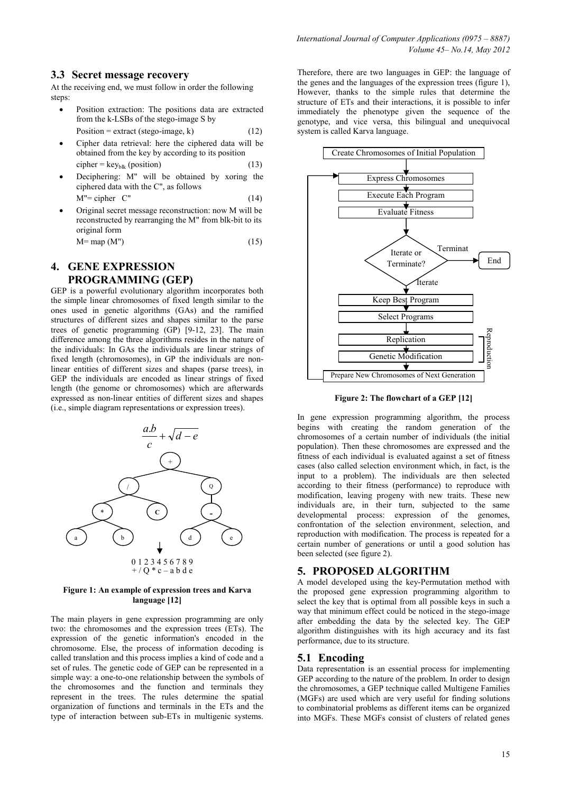## 3.3 Secret message recovery

At the receiving end, we must follow in order the following steps:

- Position extraction: The positions data are extracted from the k-LSBs of the stego-image S by Position = extract (stego-image, k)  $(12)$
- Cipher data retrieval: here the ciphered data will be obtained from the key by according to its position cipher =  $key_{blk}$  (position) (13)
- Deciphering: M" will be obtained by xoring the ciphered data with the C", as follows  $M'' = cipher C''$  (14)
- Original secret message reconstruction: now M will be reconstructed by rearranging the M" from blk-bit to its original form

# $M = map (M")$  (15)

# 4. GENE EXPRESSION PROGRAMMING (GEP)

GEP is a powerful evolutionary algorithm incorporates both the simple linear chromosomes of fixed length similar to the ones used in genetic algorithms (GAs) and the ramified structures of different sizes and shapes similar to the parse trees of genetic programming (GP) [9-12, 23]. The main difference among the three algorithms resides in the nature of the individuals: In GAs the individuals are linear strings of fixed length (chromosomes), in GP the individuals are nonlinear entities of different sizes and shapes (parse trees), in GEP the individuals are encoded as linear strings of fixed length (the genome or chromosomes) which are afterwards expressed as non-linear entities of different sizes and shapes (i.e., simple diagram representations or expression trees).



#### Figure 1: An example of expression trees and Karva language [12]

The main players in gene expression programming are only two: the chromosomes and the expression trees (ETs). The expression of the genetic information's encoded in the chromosome. Else, the process of information decoding is called translation and this process implies a kind of code and a set of rules. The genetic code of GEP can be represented in a simple way: a one-to-one relationship between the symbols of the chromosomes and the function and terminals they represent in the trees. The rules determine the spatial organization of functions and terminals in the ETs and the type of interaction between sub-ETs in multigenic systems.

Therefore, there are two languages in GEP: the language of the genes and the languages of the expression trees (figure 1), However, thanks to the simple rules that determine the structure of ETs and their interactions, it is possible to infer immediately the phenotype given the sequence of the genotype, and vice versa, this bilingual and unequivocal system is called Karva language.



Figure 2: The flowchart of a GEP [12]

In gene expression programming algorithm, the process begins with creating the random generation of the chromosomes of a certain number of individuals (the initial population). Then these chromosomes are expressed and the fitness of each individual is evaluated against a set of fitness cases (also called selection environment which, in fact, is the input to a problem). The individuals are then selected according to their fitness (performance) to reproduce with modification, leaving progeny with new traits. These new individuals are, in their turn, subjected to the same developmental process: expression of the genomes, confrontation of the selection environment, selection, and reproduction with modification. The process is repeated for a certain number of generations or until a good solution has been selected (see figure 2).

# 5. PROPOSED ALGORITHM

A model developed using the key-Permutation method with the proposed gene expression programming algorithm to select the key that is optimal from all possible keys in such a way that minimum effect could be noticed in the stego-image after embedding the data by the selected key. The GEP algorithm distinguishes with its high accuracy and its fast performance, due to its structure.

## 5.1 Encoding

Data representation is an essential process for implementing GEP according to the nature of the problem. In order to design the chromosomes, a GEP technique called Multigene Families (MGFs) are used which are very useful for finding solutions to combinatorial problems as different items can be organized into MGFs. These MGFs consist of clusters of related genes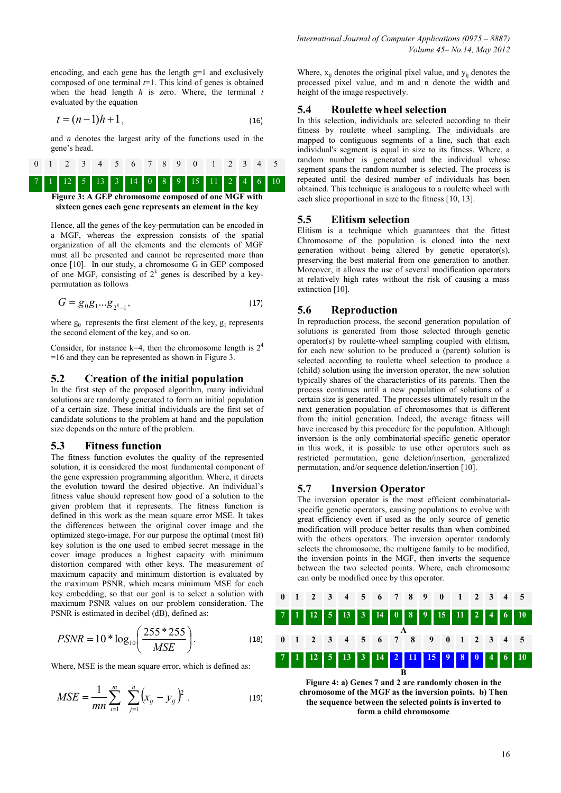encoding, and each gene has the length g=1 and exclusively composed of one terminal  $t=1$ . This kind of genes is obtained when the head length  $h$  is zero. Where, the terminal  $t$ evaluated by the equation

$$
t = (n-1)h + 1, \t\t(16)
$$

and  $n$  denotes the largest arity of the functions used in the gene's head.

|  |  |  |  |  | 7 1 1 2 5 13 3 14 0 8 9 15 11 2 4 6 10 |  |  |  |
|--|--|--|--|--|----------------------------------------|--|--|--|
|  |  |  |  |  |                                        |  |  |  |
|  |  |  |  |  | 0 1 2 3 4 5 6 7 8 9 0 1 2 3 4          |  |  |  |

sixteen genes each gene represents an element in the key

Hence, all the genes of the key-permutation can be encoded in a MGF, whereas the expression consists of the spatial organization of all the elements and the elements of MGF must all be presented and cannot be represented more than once  $[10]$ . In our study, a chromosome  $\hat{G}$  in GEP composed of one MGF, consisting of  $2^k$  genes is described by a keypermutation as follows

$$
G = g_0 g_1 ... g_{2^k - 1},
$$
\n(17)

where  $g_0$  represents the first element of the key,  $g_1$  represents the second element of the key, and so on.

Consider, for instance k=4, then the chromosome length is  $2^4$ =16 and they can be represented as shown in Figure 3.

#### 5.2 Creation of the initial population

In the first step of the proposed algorithm, many individual solutions are randomly generated to form an initial population of a certain size. These initial individuals are the first set of candidate solutions to the problem at hand and the population size depends on the nature of the problem.

#### 5.3 Fitness function

The fitness function evolutes the quality of the represented solution, it is considered the most fundamental component of the gene expression programming algorithm. Where, it directs the evolution toward the desired objective. An individual's fitness value should represent how good of a solution to the given problem that it represents. The fitness function is defined in this work as the mean square error MSE. It takes the differences between the original cover image and the optimized stego-image. For our purpose the optimal (most fit) key solution is the one used to embed secret message in the cover image produces a highest capacity with minimum distortion compared with other keys. The measurement of maximum capacity and minimum distortion is evaluated by the maximum PSNR, which means minimum MSE for each key embedding, so that our goal is to select a solution with maximum PSNR values on our problem consideration. The PSNR is estimated in decibel (dB), defined as:

$$
PSNR = 10 * \log_{10} \left( \frac{255 * 255}{MSE} \right).
$$
 (18)

Where, MSE is the mean square error, which is defined as:

$$
MSE = \frac{1}{mn} \sum_{i=1}^{m} \sum_{j=1}^{n} (x_{ij} - y_{ij})^{2}
$$
 (19)

Where,  $x_{ii}$  denotes the original pixel value, and  $y_{ii}$  denotes the processed pixel value, and m and n denote the width and height of the image respectively.

#### 5.4 Roulette wheel selection

In this selection, individuals are selected according to their fitness by roulette wheel sampling. The individuals are mapped to contiguous segments of a line, such that each individual's segment is equal in size to its fitness. Where, a random number is generated and the individual whose segment spans the random number is selected. The process is repeated until the desired number of individuals has been obtained. This technique is analogous to a roulette wheel with each slice proportional in size to the fitness [10, 13].

#### 5.5 Elitism selection

Elitism is a technique which guarantees that the fittest Chromosome of the population is cloned into the next generation without being altered by genetic operator(s), preserving the best material from one generation to another. Moreover, it allows the use of several modification operators at relatively high rates without the risk of causing a mass extinction [10].

#### 5.6 Reproduction

In reproduction process, the second generation population of solutions is generated from those selected through genetic operator(s) by roulette-wheel sampling coupled with elitism, for each new solution to be produced a (parent) solution is selected according to roulette wheel selection to produce a (child) solution using the inversion operator, the new solution typically shares of the characteristics of its parents. Then the process continues until a new population of solutions of a certain size is generated. The processes ultimately result in the next generation population of chromosomes that is different from the initial generation. Indeed, the average fitness will have increased by this procedure for the population. Although inversion is the only combinatorial-specific genetic operator in this work, it is possible to use other operators such as restricted permutation, gene deletion/insertion, generalized permutation, and/or sequence deletion/insertion [10].

#### 5.7 Inversion Operator

The inversion operator is the most efficient combinatorialspecific genetic operators, causing populations to evolve with great efficiency even if used as the only source of genetic modification will produce better results than when combined with the others operators. The inversion operator randomly selects the chromosome, the multigene family to be modified, the inversion points in the MGF, then inverts the sequence between the two selected points. Where, each chromosome can only be modified once by this operator.



Figure 4: a) Genes 7 and 2 are randomly chosen in the chromosome of the MGF as the inversion points. b) Then the sequence between the selected points is inverted to form a child chromosome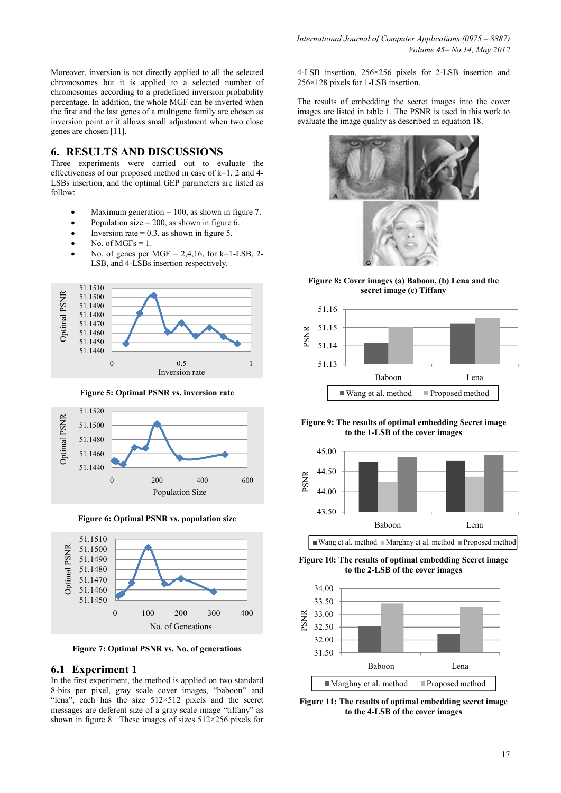### 6. RESULTS AND DISCUSSIONS

Three experiments were carried out to evaluate the effectiveness of our proposed method in case of  $k=1, 2$  and 4-LSBs insertion, and the optimal GEP parameters are listed as follow:

- Maximum generation  $= 100$ , as shown in figure 7.
- Population size  $= 200$ , as shown in figure 6.
- Inversion rate  $= 0.3$ , as shown in figure 5.
- No. of  $MGFs = 1$ .
- No. of genes per MGF =  $2.4.16$ , for k=1-LSB, 2-LSB, and 4-LSBs insertion respectively.







Figure 6: Optimal PSNR vs. population size



Figure 7: Optimal PSNR vs. No. of generations

#### 6.1 Experiment 1

In the first experiment, the method is applied on two standard 8-bits per pixel, gray scale cover images, "baboon" and "lena", each has the size  $512 \times 512$  pixels and the secret messages are deferent size of a gray-scale image "tiffany" as shown in figure 8. These images of sizes  $512\times256$  pixels for

4-LSB insertion, 256×256 pixels for 2-LSB insertion and 256×128 pixels for 1-LSB insertion.

The results of embedding the secret images into the cover images are listed in table 1. The PSNR is used in this work to evaluate the image quality as described in equation 18.



Figure 8: Cover images (a) Baboon, (b) Lena and the secret image (c) Tiffany



Figure 9: The results of optimal embedding Secret image to the 1-LSB of the cover images



Wang et al. method  $\blacksquare$  Marghny et al. method  $\blacksquare$  Proposed method

Figure 10: The results of optimal embedding Secret image to the 2-LSB of the cover images



Figure 11: The results of optimal embedding secret image to the 4-LSB of the cover images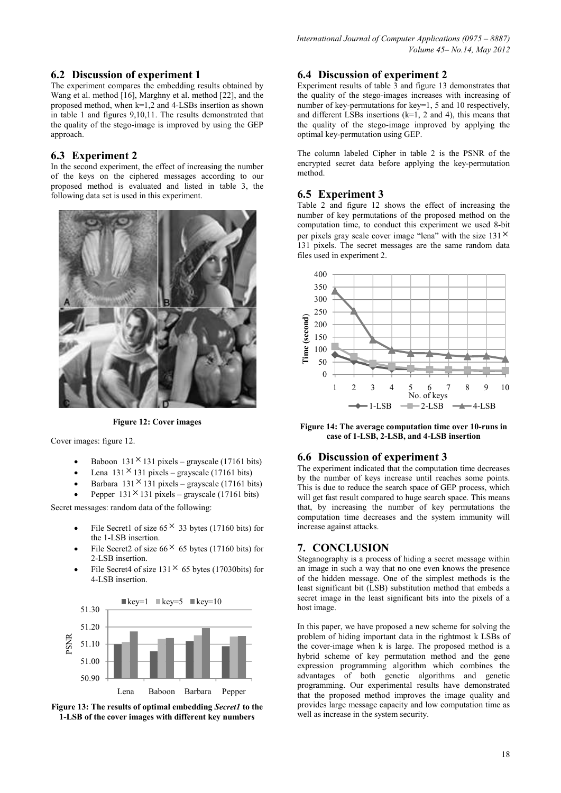# 6.2 Discussion of experiment 1

The experiment compares the embedding results obtained by Wang et al. method [16], Marghny et al. method [22], and the proposed method, when k=1,2 and 4-LSBs insertion as shown in table 1 and figures 9,10,11. The results demonstrated that the quality of the stego-image is improved by using the GEP approach.

# 6.3 Experiment 2

In the second experiment, the effect of increasing the number of the keys on the ciphered messages according to our proposed method is evaluated and listed in table 3, the following data set is used in this experiment.



Figure 12: Cover images

Cover images: figure 12.

- Baboon  $131 \times 131$  pixels grayscale (17161 bits)
- Lena  $131 \times 131$  pixels grayscale (17161 bits)
- Barbara  $131 \times 131$  pixels grayscale (17161 bits)
- Pepper  $131 \times 131$  pixels grayscale (17161 bits)

Secret messages: random data of the following:

- File Secret1 of size  $65 \times 33$  bytes (17160 bits) for the 1-LSB insertion.
- File Secret2 of size  $66 \times 65$  bytes (17160 bits) for 2-LSB insertion.
- File Secret4 of size  $131 \times 65$  bytes (17030bits) for 4-LSB insertion.



Figure 13: The results of optimal embedding Secret1 to the 1-LSB of the cover images with different key numbers

# 6.4 Discussion of experiment 2

Experiment results of table  $\overline{3}$  and figure 13 demonstrates that the quality of the stego-images increases with increasing of number of key-permutations for key=1, 5 and 10 respectively, and different LSBs insertions  $(k=1, 2, 4)$ , this means that the quality of the stego-image improved by applying the optimal key-permutation using GEP.

The column labeled Cipher in table 2 is the PSNR of the encrypted secret data before applying the key-permutation method.

## 6.5 Experiment 3

Table 2 and figure 12 shows the effect of increasing the number of key permutations of the proposed method on the computation time, to conduct this experiment we used 8-bit per pixels gray scale cover image "lena" with the size  $131^{\times}$ 131 pixels. The secret messages are the same random data files used in experiment 2.



Figure 14: The average computation time over 10-runs in case of 1-LSB, 2-LSB, and 4-LSB insertion

## 6.6 Discussion of experiment 3

The experiment indicated that the computation time decreases by the number of keys increase until reaches some points. This is due to reduce the search space of GEP process, which will get fast result compared to huge search space. This means that, by increasing the number of key permutations the computation time decreases and the system immunity will increase against attacks.

# 7. CONCLUSION

Steganography is a process of hiding a secret message within an image in such a way that no one even knows the presence of the hidden message. One of the simplest methods is the least significant bit (LSB) substitution method that embeds a secret image in the least significant bits into the pixels of a host image.

In this paper, we have proposed a new scheme for solving the problem of hiding important data in the rightmost k LSBs of the cover-image when k is large. The proposed method is a hybrid scheme of key permutation method and the gene expression programming algorithm which combines the advantages of both genetic algorithms and genetic programming. Our experimental results have demonstrated that the proposed method improves the image quality and provides large message capacity and low computation time as well as increase in the system security.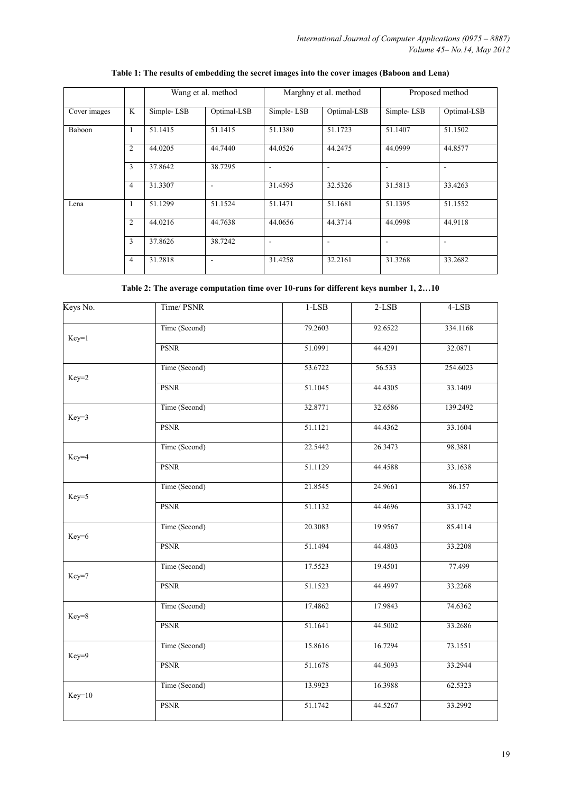|              |                | Wang et al. method |             |            | Marghny et al. method | Proposed method          |             |  |
|--------------|----------------|--------------------|-------------|------------|-----------------------|--------------------------|-------------|--|
| Cover images | K              | Simple-LSB         | Optimal-LSB | Simple-LSB | Optimal-LSB           | Simple-LSB               | Optimal-LSB |  |
| Baboon       | 1              | 51.1415            | 51.1415     | 51.1380    | 51.1723               | 51.1407                  | 51.1502     |  |
|              | 2              | 44.0205            | 44.7440     | 44.0526    | 44.2475               | 44.0999                  | 44.8577     |  |
|              | 3              | 37.8642            | 38.7295     | ٠          | $\blacksquare$        | $\overline{\phantom{a}}$ | -           |  |
|              | $\overline{4}$ | 31.3307            | ۰           | 31.4595    | 32.5326               | 31.5813                  | 33.4263     |  |
| Lena         | ш              | 51.1299            | 51.1524     | 51.1471    | 51.1681               | 51.1395                  | 51.1552     |  |
|              | 2              | 44.0216            | 44.7638     | 44.0656    | 44.3714               | 44.0998                  | 44.9118     |  |
|              | 3              | 37.8626            | 38.7242     |            |                       |                          |             |  |
|              | $\overline{4}$ | 31.2818            | ۰           | 31.4258    | 32.2161               | 31.3268                  | 33.2682     |  |

# Table 1: The results of embedding the secret images into the cover images (Baboon and Lena)

Table 2: The average computation time over 10-runs for different keys number 1, 2…10

| Time/PSNR     | $1-LSB$ | $2-LSB$ | $4-LSB$  |
|---------------|---------|---------|----------|
| Time (Second) | 79.2603 | 92.6522 | 334.1168 |
| <b>PSNR</b>   | 51.0991 | 44.4291 | 32.0871  |
| Time (Second) | 53.6722 | 56.533  | 254.6023 |
| <b>PSNR</b>   | 51.1045 | 44.4305 | 33.1409  |
| Time (Second) | 32.8771 | 32.6586 | 139.2492 |
| <b>PSNR</b>   | 51.1121 | 44.4362 | 33.1604  |
| Time (Second) | 22.5442 | 26.3473 | 98.3881  |
| <b>PSNR</b>   | 51.1129 | 44.4588 | 33.1638  |
| Time (Second) | 21.8545 | 24.9661 | 86.157   |
| <b>PSNR</b>   | 51.1132 | 44.4696 | 33.1742  |
| Time (Second) | 20.3083 | 19.9567 | 85.4114  |
| <b>PSNR</b>   | 51.1494 | 44.4803 | 33.2208  |
| Time (Second) | 17.5523 | 19.4501 | 77.499   |
| <b>PSNR</b>   | 51.1523 | 44.4997 | 33.2268  |
| Time (Second) | 17.4862 | 17.9843 | 74.6362  |
| <b>PSNR</b>   | 51.1641 | 44.5002 | 33.2686  |
| Time (Second) | 15.8616 | 16.7294 | 73.1551  |
| <b>PSNR</b>   | 51.1678 | 44.5093 | 33.2944  |
| Time (Second) | 13.9923 | 16.3988 | 62.5323  |
| <b>PSNR</b>   | 51.1742 | 44.5267 | 33.2992  |
|               |         |         |          |